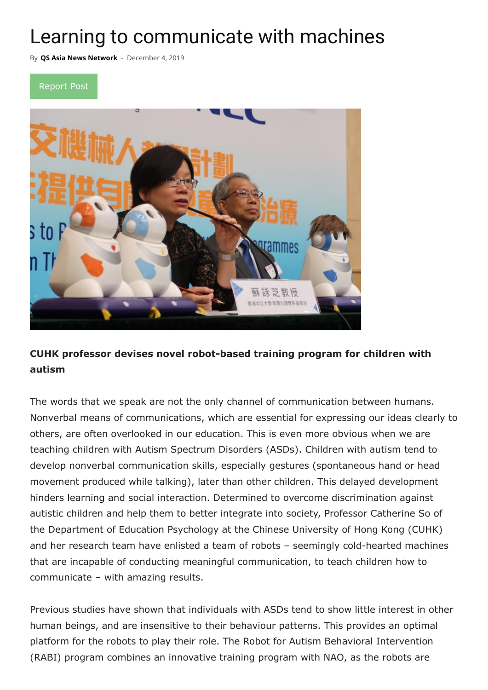## Learning to communicate with machines

By **[QS Asia News Network](https://qswownews.com/author/newsadmin/)** - December 4, 2019





## **CUHK professor devises novel robot-based training program for children with autism**

The words that we speak are not the only channel of communication between humans. Nonverbal means of communications, which are essential for expressing our ideas clearly to others, are often overlooked in our education. This is even more obvious when we are teaching children with Autism Spectrum Disorders (ASDs). Children with autism tend to develop nonverbal communication skills, especially gestures (spontaneous hand or head movement produced while talking), later than other children. This delayed development hinders learning and social interaction. Determined to overcome discrimination against autistic children and help them to better integrate into society, Professor Catherine So of the Department of Education Psychology at the Chinese University of Hong Kong (CUHK) and her research team have enlisted a team of robots – seemingly cold-hearted machines that are incapable of conducting meaningful communication, to teach children how to communicate – with amazing results.

Previous studies have shown that individuals with ASDs tend to show little interest in other human beings, and are insensitive to their behaviour patterns. This provides an optimal platform for the robots to play their role. The Robot for Autism Behavioral Intervention (RABI) program combines an innovative training program with NAO, as the robots are